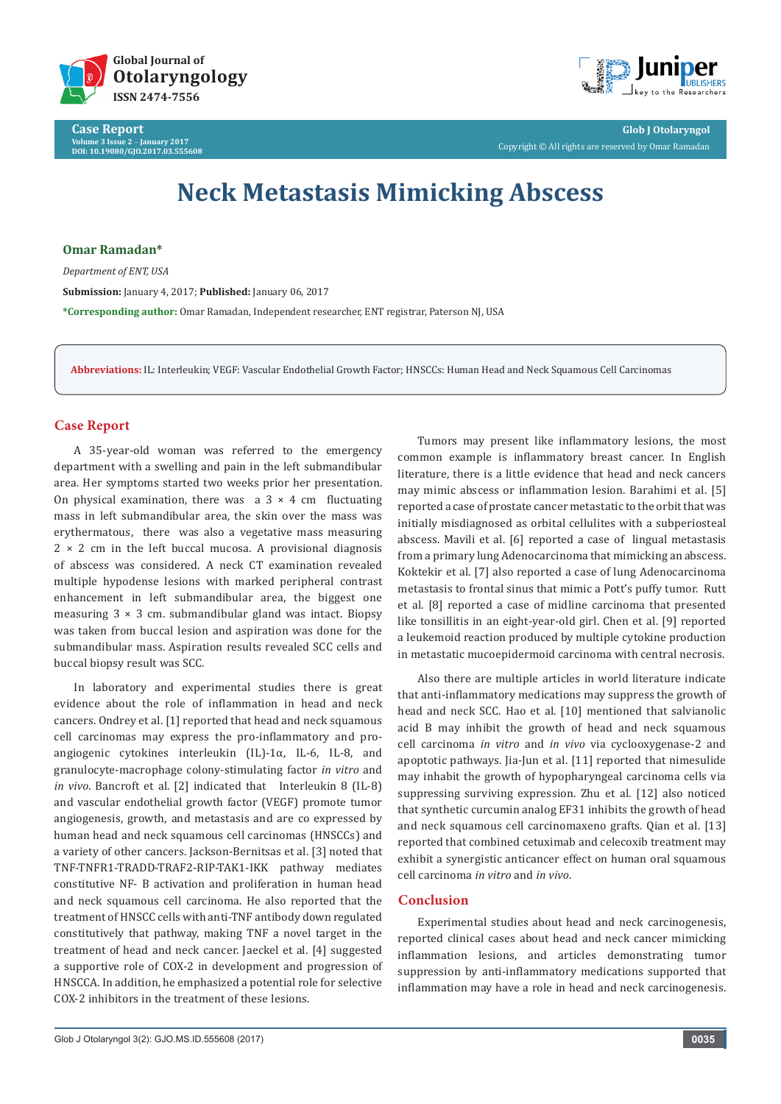

**Case Report Volume 3 Issue 2** - **January 2017 DOI: [10.19080/GJO.2017.03.555608](http://dx.doi.org/10.19080/GJO.2017.03.555608
)**



**Glob J Otolaryngol** Copyright © All rights are reserved by Omar Ramadan

# **Neck Metastasis Mimicking Abscess**

**Omar Ramadan\***

*Department of ENT, USA*

**Submission:** January 4, 2017; **Published:** January 06, 2017

**\*Corresponding author:** Omar Ramadan, Independent researcher, ENT registrar, Paterson NJ, USA

**Abbreviations:** IL: Interleukin; VEGF: Vascular Endothelial Growth Factor; HNSCCs: Human Head and Neck Squamous Cell Carcinomas

## **Case Report**

A 35-year-old woman was referred to the emergency department with a swelling and pain in the left submandibular area. Her symptoms started two weeks prior her presentation. On physical examination, there was a  $3 \times 4$  cm fluctuating mass in left submandibular area, the skin over the mass was erythermatous, there was also a vegetative mass measuring  $2 \times 2$  cm in the left buccal mucosa. A provisional diagnosis of abscess was considered. A neck CT examination revealed multiple hypodense lesions with marked peripheral contrast enhancement in left submandibular area, the biggest one measuring  $3 \times 3$  cm. submandibular gland was intact. Biopsy was taken from buccal lesion and aspiration was done for the submandibular mass. Aspiration results revealed SCC cells and buccal biopsy result was SCC.

In laboratory and experimental studies there is great evidence about the role of inflammation in head and neck cancers. Ondrey et al. [1] reported that head and neck squamous cell carcinomas may express the pro-inflammatory and proangiogenic cytokines interleukin (IL)-1α, IL-6, IL-8, and granulocyte-macrophage colony-stimulating factor *in vitro* and *in vivo*. Bancroft et al. [2] indicated that Interleukin 8 (IL-8) and vascular endothelial growth factor (VEGF) promote tumor angiogenesis, growth, and metastasis and are co expressed by human head and neck squamous cell carcinomas (HNSCCs) and a variety of other cancers. Jackson-Bernitsas et al. [3] noted that TNF-TNFR1-TRADD-TRAF2-RIP-TAK1-IKK pathway mediates constitutive NF- B activation and proliferation in human head and neck squamous cell carcinoma. He also reported that the treatment of HNSCC cells with anti-TNF antibody down regulated constitutively that pathway, making TNF a novel target in the treatment of head and neck cancer. Jaeckel et al. [4] suggested a supportive role of COX-2 in development and progression of HNSCCA. In addition, he emphasized a potential role for selective COX-2 inhibitors in the treatment of these lesions.

Tumors may present like inflammatory lesions, the most common example is inflammatory breast cancer. In English literature, there is a little evidence that head and neck cancers may mimic abscess or inflammation lesion. Barahimi et al. [5] reported a case of prostate cancer metastatic to the orbit that was initially misdiagnosed as orbital cellulites with a subperiosteal abscess. Mavili et al. [6] reported a case of lingual metastasis from a primary lung Adenocarcinoma that mimicking an abscess. Koktekir et al. [7] also reported a case of lung Adenocarcinoma metastasis to frontal sinus that mimic a Pott's puffy tumor. Rutt et al. [8] reported a case of midline carcinoma that presented like tonsillitis in an eight-year-old girl. Chen et al. [9] reported a leukemoid reaction produced by multiple cytokine production in metastatic mucoepidermoid carcinoma with central necrosis.

Also there are multiple articles in world literature indicate that anti-inflammatory medications may suppress the growth of head and neck SCC. Hao et al. [10] mentioned that salvianolic acid B may inhibit the growth of head and neck squamous cell carcinoma *in vitro* and *in vivo* via cyclooxygenase-2 and apoptotic pathways. Jia-Jun et al. [11] reported that nimesulide may inhabit the growth of hypopharyngeal carcinoma cells via suppressing surviving expression. Zhu et al. [12] also noticed that synthetic curcumin analog EF31 inhibits the growth of head and neck squamous cell carcinomaxeno grafts. Qian et al. [13] reported that combined cetuximab and celecoxib treatment may exhibit a synergistic anticancer effect on human oral squamous cell carcinoma *in vitro* and *in vivo*.

## **Conclusion**

Experimental studies about head and neck carcinogenesis, reported clinical cases about head and neck cancer mimicking inflammation lesions, and articles demonstrating tumor suppression by anti-inflammatory medications supported that inflammation may have a role in head and neck carcinogenesis.